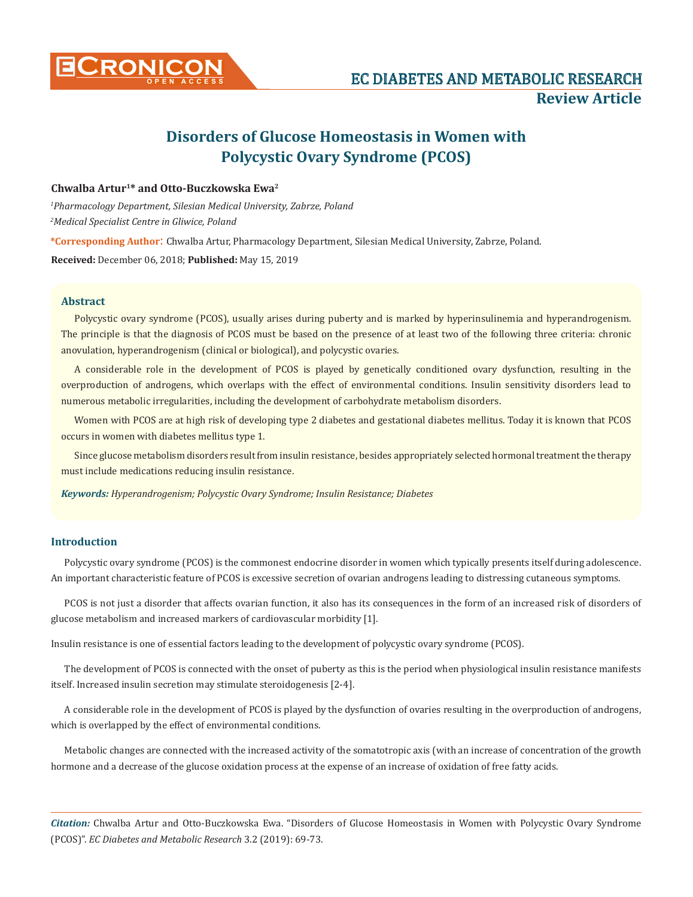

# **Disorders of Glucose Homeostasis in Women with Polycystic Ovary Syndrome (PCOS)**

# **Chwalba Artur1\* and Otto-Buczkowska Ewa2**

*1 Pharmacology Department, Silesian Medical University, Zabrze, Poland 2 Medical Specialist Centre in Gliwice, Poland* 

**\*Corresponding Author**: Chwalba Artur, Pharmacology Department, Silesian Medical University, Zabrze, Poland.

**Received:** December 06, 2018; **Published:** May 15, 2019

## **Abstract**

Polycystic ovary syndrome (PCOS), usually arises during puberty and is marked by hyperinsulinemia and hyperandrogenism. The principle is that the diagnosis of PCOS must be based on the presence of at least two of the following three criteria: chronic anovulation, hyperandrogenism (clinical or biological), and polycystic ovaries.

A considerable role in the development of PCOS is played by genetically conditioned ovary dysfunction, resulting in the overproduction of androgens, which overlaps with the effect of environmental conditions. Insulin sensitivity disorders lead to numerous metabolic irregularities, including the development of carbohydrate metabolism disorders.

Women with PCOS are at high risk of developing type 2 diabetes and gestational diabetes mellitus. Today it is known that PCOS occurs in women with diabetes mellitus type 1.

Since glucose metabolism disorders result from insulin resistance, besides appropriately selected hormonal treatment the therapy must include medications reducing insulin resistance.

*Keywords: Hyperandrogenism; Polycystic Ovary Syndrome; Insulin Resistance; Diabetes*

# **Introduction**

Polycystic ovary syndrome (PCOS) is the commonest endocrine disorder in women which typically presents itself during adolescence. An important characteristic feature of PCOS is excessive secretion of ovarian androgens leading to distressing cutaneous symptoms.

PCOS is not just a disorder that affects ovarian function, it also has its consequences in the form of an increased risk of disorders of glucose metabolism and increased markers of cardiovascular morbidity [1].

Insulin resistance is one of essential factors leading to the development of polycystic ovary syndrome (PCOS).

The development of PCOS is connected with the onset of puberty as this is the period when physiological insulin resistance manifests itself. Increased insulin secretion may stimulate steroidogenesis [2-4].

A considerable role in the development of PCOS is played by the dysfunction of ovaries resulting in the overproduction of androgens, which is overlapped by the effect of environmental conditions.

Metabolic changes are connected with the increased activity of the somatotropic axis (with an increase of concentration of the growth hormone and a decrease of the glucose oxidation process at the expense of an increase of oxidation of free fatty acids.

*Citation:* Chwalba Artur and Otto-Buczkowska Ewa. "Disorders of Glucose Homeostasis in Women with Polycystic Ovary Syndrome (PCOS)". *EC Diabetes and Metabolic Research* 3.2 (2019): 69-73.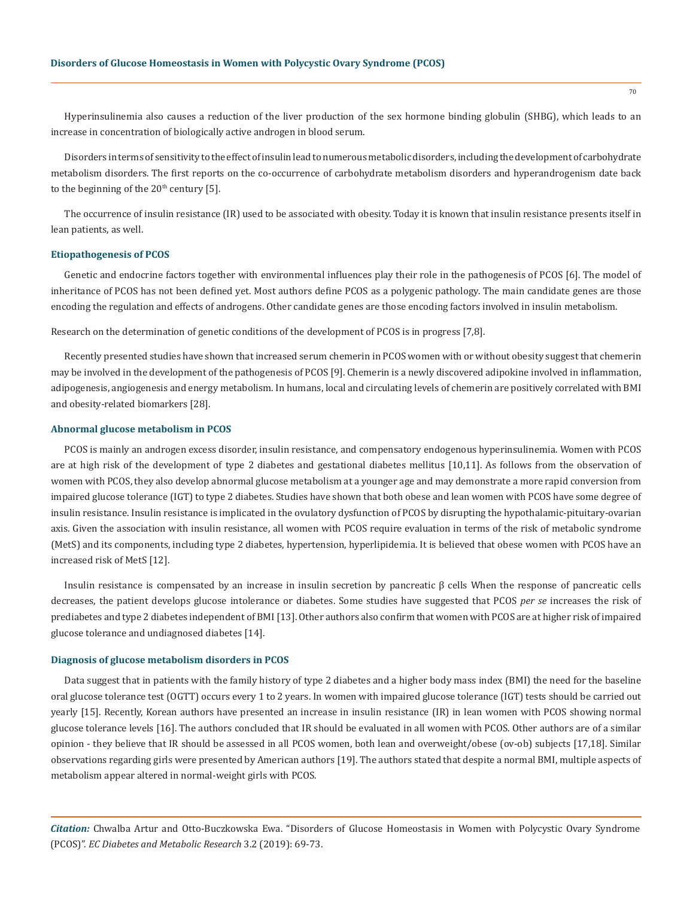Hyperinsulinemia also causes a reduction of the liver production of the sex hormone binding globulin (SHBG), which leads to an increase in concentration of biologically active androgen in blood serum.

Disorders in terms of sensitivity to the effect of insulin lead to numerous metabolic disorders, including the development of carbohydrate metabolism disorders. The first reports on the co-occurrence of carbohydrate metabolism disorders and hyperandrogenism date back to the beginning of the  $20<sup>th</sup>$  century [5].

The occurrence of insulin resistance (IR) used to be associated with obesity. Today it is known that insulin resistance presents itself in lean patients, as well.

#### **Etiopathogenesis of PCOS**

Genetic and endocrine factors together with environmental influences play their role in the pathogenesis of PCOS [6]. The model of inheritance of PCOS has not been defined yet. Most authors define PCOS as a polygenic pathology. The main candidate genes are those encoding the regulation and effects of androgens. Other candidate genes are those encoding factors involved in insulin metabolism.

Research on the determination of genetic conditions of the development of PCOS is in progress [7,8].

Recently presented studies have shown that increased serum chemerin in PCOS women with or without obesity suggest that chemerin may be involved in the development of the pathogenesis of PCOS [9]. Chemerin is a newly discovered adipokine involved in inflammation, adipogenesis, angiogenesis and energy metabolism. In humans, local and circulating levels of chemerin are positively correlated with BMI and obesity-related biomarkers [28].

#### **Abnormal glucose metabolism in PCOS**

PCOS is mainly an androgen excess disorder, insulin resistance, and compensatory endogenous hyperinsulinemia. Women with PCOS are at high risk of the development of type 2 diabetes and gestational diabetes mellitus [10,11]. As follows from the observation of women with PCOS, they also develop abnormal glucose metabolism at a younger age and may demonstrate a more rapid conversion from impaired glucose tolerance (IGT) to type 2 diabetes. Studies have shown that both obese and lean women with PCOS have some degree of insulin resistance. Insulin resistance is implicated in the ovulatory dysfunction of PCOS by disrupting the hypothalamic-pituitary-ovarian axis. Given the association with insulin resistance, all women with PCOS require evaluation in terms of the risk of metabolic syndrome (MetS) and its components, including type 2 diabetes, hypertension, hyperlipidemia. It is believed that obese women with PCOS have an increased risk of MetS [12].

Insulin resistance is compensated by an increase in insulin secretion by pancreatic β cells When the response of pancreatic cells decreases, the patient develops glucose intolerance or diabetes. Some studies have suggested that PCOS *per se* increases the risk of prediabetes and type 2 diabetes independent of BMI [13]. Other authors also confirm that women with PCOS are at higher risk of impaired glucose tolerance and undiagnosed diabetes [14].

#### **Diagnosis of glucose metabolism disorders in PCOS**

Data suggest that in patients with the family history of type 2 diabetes and a higher body mass index (BMI) the need for the baseline oral glucose tolerance test (OGTT) occurs every 1 to 2 years. In women with impaired glucose tolerance (IGT) tests should be carried out yearly [15]. Recently, Korean authors have presented an increase in insulin resistance (IR) in lean women with PCOS showing normal glucose tolerance levels [16]. The authors concluded that IR should be evaluated in all women with PCOS. Other authors are of a similar opinion - they believe that IR should be assessed in all PCOS women, both lean and overweight/obese (ov-ob) subjects [17,18]. Similar observations regarding girls were presented by American authors [19]. The authors stated that despite a normal BMI, multiple aspects of metabolism appear altered in normal-weight girls with PCOS.

*Citation:* Chwalba Artur and Otto-Buczkowska Ewa. "Disorders of Glucose Homeostasis in Women with Polycystic Ovary Syndrome (PCOS)". *EC Diabetes and Metabolic Research* 3.2 (2019): 69-73.

70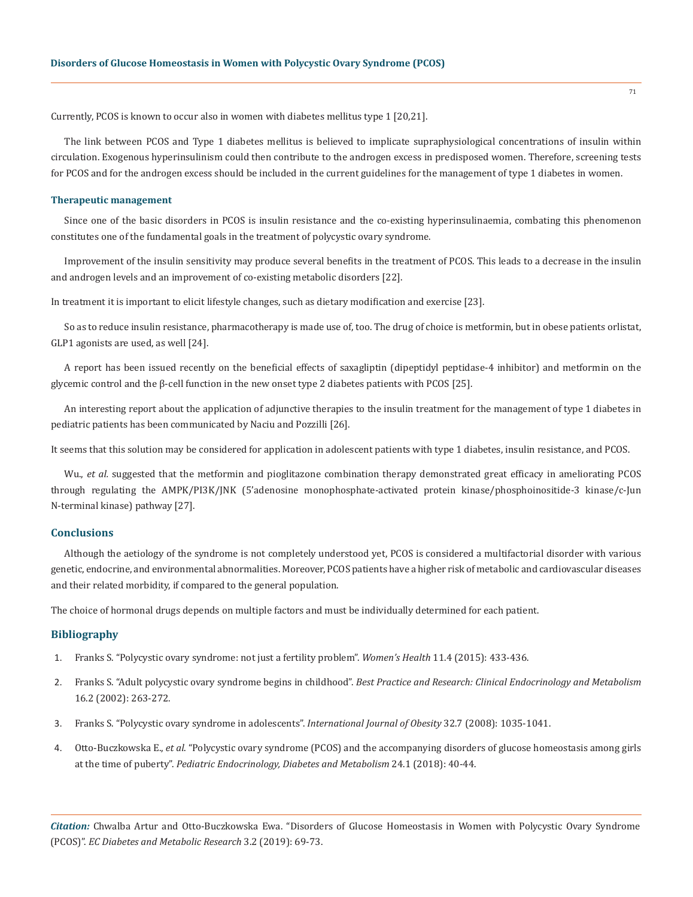Currently, PCOS is known to occur also in women with diabetes mellitus type 1 [20,21].

The link between PCOS and Type 1 diabetes mellitus is believed to implicate supraphysiological concentrations of insulin within circulation. Exogenous hyperinsulinism could then contribute to the androgen excess in predisposed women. Therefore, screening tests for PCOS and for the androgen excess should be included in the current guidelines for the management of type 1 diabetes in women.

## **Therapeutic management**

Since one of the basic disorders in PCOS is insulin resistance and the co-existing hyperinsulinaemia, combating this phenomenon constitutes one of the fundamental goals in the treatment of polycystic ovary syndrome.

Improvement of the insulin sensitivity may produce several benefits in the treatment of PCOS. This leads to a decrease in the insulin and androgen levels and an improvement of co-existing metabolic disorders [22].

In treatment it is important to elicit lifestyle changes, such as dietary modification and exercise [23].

So as to reduce insulin resistance, pharmacotherapy is made use of, too. The drug of choice is metformin, but in obese patients orlistat, GLP1 agonists are used, as well [24].

A report has been issued recently on the beneficial effects of saxagliptin (dipeptidyl peptidase-4 inhibitor) and metformin on the glycemic control and the β-cell function in the new onset type 2 diabetes patients with PCOS [25].

An interesting report about the application of adjunctive therapies to the insulin treatment for the management of type 1 diabetes in pediatric patients has been communicated by Naciu and Pozzilli [26].

It seems that this solution may be considered for application in adolescent patients with type 1 diabetes, insulin resistance, and PCOS.

Wu., *et al.* suggested that the metformin and pioglitazone combination therapy demonstrated great efficacy in ameliorating PCOS through regulating the AMPK/PI3K/JNK (5'adenosine monophosphate-activated protein kinase/phosphoinositide-3 kinase/c-Jun N-terminal kinase) pathway [27].

# **Conclusions**

Although the aetiology of the syndrome is not completely understood yet, PCOS is considered a multifactorial disorder with various genetic, endocrine, and environmental abnormalities. Moreover, PCOS patients have a higher risk of metabolic and cardiovascular diseases and their related morbidity, if compared to the general population.

The choice of hormonal drugs depends on multiple factors and must be individually determined for each patient.

## **Bibliography**

- 1. [Franks S. "Polycystic ovary syndrome: not just a fertility problem".](https://www.ncbi.nlm.nih.gov/pubmed/26243702) *Women's Health* 11.4 (2015): 433-436.
- 2. Franks S. "Adult polycystic ovary syndrome begins in childhood". *[Best Practice and Research: Clinical Endocrinology and Metabolism](https://www.ncbi.nlm.nih.gov/pubmed/12064892)*  [16.2 \(2002\): 263-272.](https://www.ncbi.nlm.nih.gov/pubmed/12064892)
- 3. [Franks S. "Polycystic ovary syndrome in adolescents".](https://www.ncbi.nlm.nih.gov/pubmed/18458678) *International Journal of Obesity* 32.7 (2008): 1035-1041.
- 4. Otto-Buczkowska E., *et al*[. "Polycystic ovary syndrome \(PCOS\) and the accompanying disorders of glucose homeostasis among girls](https://www.ncbi.nlm.nih.gov/pubmed/30083660)  at the time of puberty". *[Pediatric Endocrinology, Diabetes and Metabolism](https://www.ncbi.nlm.nih.gov/pubmed/30083660)* 24.1 (2018): 40-44.

*Citation:* Chwalba Artur and Otto-Buczkowska Ewa. "Disorders of Glucose Homeostasis in Women with Polycystic Ovary Syndrome (PCOS)". *EC Diabetes and Metabolic Research* 3.2 (2019): 69-73.

71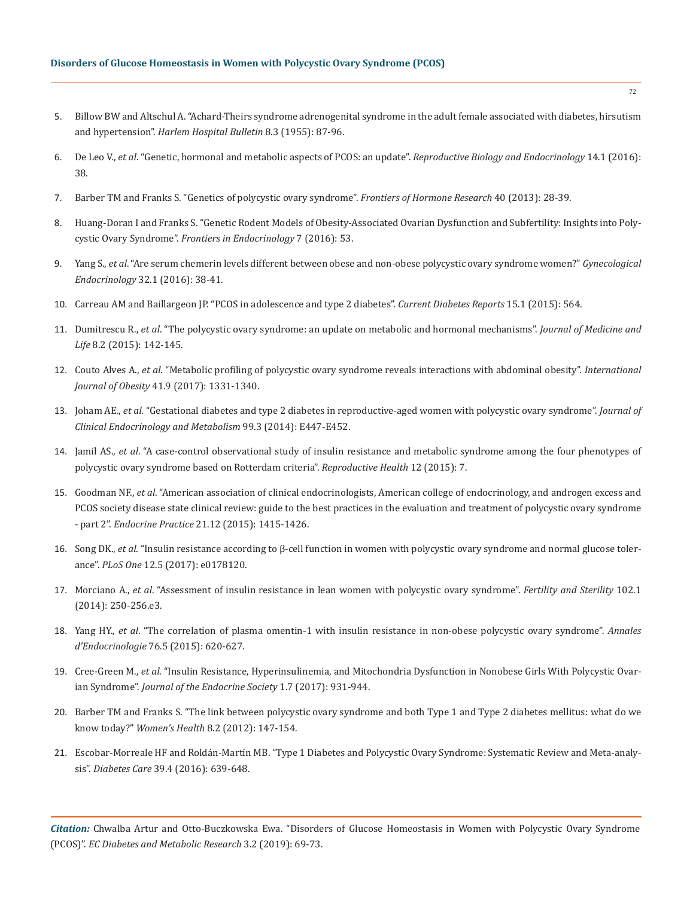- 5. [Billow BW and Altschul A. "Achard-Theirs syndrome adrenogenital syndrome in the adult female associated with diabetes, hirsutism](https://www.ncbi.nlm.nih.gov/pubmed/13270875)  and hypertension". *[Harlem Hospital Bulletin](https://www.ncbi.nlm.nih.gov/pubmed/13270875)* 8.3 (1955): 87-96.
- 6. De Leo V., *et al*[. "Genetic, hormonal and metabolic aspects of PCOS: an update".](https://www.ncbi.nlm.nih.gov/pmc/articles/PMC4947298/) *Reproductive Biology and Endocrinology* 14.1 (2016): [38.](https://www.ncbi.nlm.nih.gov/pmc/articles/PMC4947298/)
- 7. [Barber TM and Franks S. "Genetics of polycystic ovary syndrome".](https://www.ncbi.nlm.nih.gov/pubmed/24002403) *Frontiers of Hormone Research* 40 (2013): 28-39.
- 8. [Huang-Doran I and Franks S. "Genetic Rodent Models of Obesity-Associated Ovarian Dysfunction and Subfertility: Insights into Poly](https://www.ncbi.nlm.nih.gov/pmc/articles/PMC4894870/)cystic Ovary Syndrome". *[Frontiers in Endocrinology](https://www.ncbi.nlm.nih.gov/pmc/articles/PMC4894870/)* 7 (2016): 53.
- 9. Yang S., *et al*[. "Are serum chemerin levels different between obese and non-obese polycystic ovary syndrome women?"](https://www.ncbi.nlm.nih.gov/pubmed/26291816) *Gynecological Endocrinology* [32.1 \(2016\): 38-41.](https://www.ncbi.nlm.nih.gov/pubmed/26291816)
- 10. [Carreau AM and Baillargeon JP. "PCOS in adolescence and type 2 diabetes".](https://www.ncbi.nlm.nih.gov/pubmed/25398203) *Current Diabetes Reports* 15.1 (2015): 564.
- 11. Dumitrescu R., *et al*[. "The polycystic ovary syndrome: an update on metabolic and hormonal mechanisms".](https://www.ncbi.nlm.nih.gov/pubmed/25866568) *Journal of Medicine and Life* [8.2 \(2015\): 142-145.](https://www.ncbi.nlm.nih.gov/pubmed/25866568)
- 12. Couto Alves A., *et al*[. "Metabolic profiling of polycystic ovary syndrome reveals interactions with abdominal obesity".](https://www.ncbi.nlm.nih.gov/pubmed/28546543) *International Journal of Obesity* [41.9 \(2017\): 1331-1340.](https://www.ncbi.nlm.nih.gov/pubmed/28546543)
- 13. Joham AE., *et al*[. "Gestational diabetes and type 2 diabetes in reproductive-aged women with polycystic ovary syndrome".](https://www.ncbi.nlm.nih.gov/pubmed/24081730) *Journal of [Clinical Endocrinology and Metabolism](https://www.ncbi.nlm.nih.gov/pubmed/24081730)* 99.3 (2014): E447-E452.
- 14. Jamil AS., *et al*[. "A case-control observational study of insulin resistance and metabolic syndrome among the four phenotypes of](https://www.ncbi.nlm.nih.gov/pubmed/25595199)  [polycystic ovary syndrome based on Rotterdam criteria".](https://www.ncbi.nlm.nih.gov/pubmed/25595199) *Reproductive Health* 12 (2015): 7.
- 15. Goodman NF., *et al*[. "American association of clinical endocrinologists, American college of endocrinology, and androgen excess and](https://www.ncbi.nlm.nih.gov/pubmed/26642102)  [PCOS society disease state clinical review: guide to the best practices in the evaluation and treatment of polycystic ovary syndrome](https://www.ncbi.nlm.nih.gov/pubmed/26642102)  - part 2". *Endocrine Practice* [21.12 \(2015\): 1415-1426.](https://www.ncbi.nlm.nih.gov/pubmed/26642102)
- 16. Song DK., *et al*[. "Insulin resistance according to β-cell function in women with polycystic ovary syndrome and normal glucose toler](https://www.ncbi.nlm.nih.gov/pubmed/28542421)ance". *PLoS One* [12.5 \(2017\): e0178120.](https://www.ncbi.nlm.nih.gov/pubmed/28542421)
- 17. Morciano A., *et al*[. "Assessment of insulin resistance in lean women with polycystic ovary syndrome".](https://www.ncbi.nlm.nih.gov/pubmed/24825420) *Fertility and Sterility* 102.1 [\(2014\): 250-256.e3.](https://www.ncbi.nlm.nih.gov/pubmed/24825420)
- 18. Yang HY., *et al*[. "The correlation of plasma omentin-1 with insulin resistance in non-obese polycystic ovary syndrome".](https://www.ncbi.nlm.nih.gov/pubmed/26514948) *Annales d'Endocrinologie* [76.5 \(2015\): 620-627.](https://www.ncbi.nlm.nih.gov/pubmed/26514948)
- 19. Cree-Green M., *et al*[. "Insulin Resistance, Hyperinsulinemia, and Mitochondria Dysfunction in Nonobese Girls With Polycystic Ovar](https://www.ncbi.nlm.nih.gov/pubmed/29264544)ian Syndrome". *[Journal of the Endocrine Society](https://www.ncbi.nlm.nih.gov/pubmed/29264544)* 1.7 (2017): 931-944.
- 20. [Barber TM and Franks S. "The link between polycystic ovary syndrome and both Type 1 and Type 2 diabetes mellitus: what do we](https://www.ncbi.nlm.nih.gov/pubmed/22375718)  know today?" *Women's Health* [8.2 \(2012\): 147-154.](https://www.ncbi.nlm.nih.gov/pubmed/22375718)
- 21. [Escobar-Morreale HF and Roldán-Martín MB. "Type 1 Diabetes and Polycystic Ovary Syndrome: Systematic Review and Meta-analy](https://www.ncbi.nlm.nih.gov/pubmed/27208367)sis". *Diabetes Care* [39.4 \(2016\): 639-648.](https://www.ncbi.nlm.nih.gov/pubmed/27208367)

*Citation:* Chwalba Artur and Otto-Buczkowska Ewa. "Disorders of Glucose Homeostasis in Women with Polycystic Ovary Syndrome (PCOS)". *EC Diabetes and Metabolic Research* 3.2 (2019): 69-73.

72